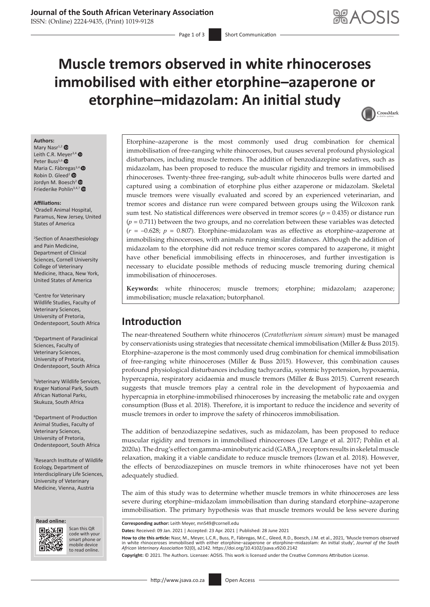# **Journal of the South African Veterinary Association**

ISSN: (Online) 2224-9435, (Print) 1019-9128

# **Muscle tremors observed in white rhinoceroses immobilised with either etorphine–azaperone or etorphine–midazolam: An initial study**



#### **Authors:**

Mary Nasr<sup>1,[2](https://orcid.org/0000-0002-7948-9210)</sup> Leith C.R. Meyer<sup>3,[4](https://orcid.org/0000-0002-5122-2469)</sup> Peter Buss<sup>5,[6](https://orcid.org/0000-0001-5614-0975)</sup> Maria C. Fàbre[gas](https://orcid.org/0000-0002-5596-577X)<sup>3,[4](https://orcid.org/0000-0001-7769-087X)</sup> Robin D. Gleed<sup>2</sup> <sup>®</sup> Jordyn M. Boesch<sup>[2](https://orcid.org/0000-0002-2032-1202)</sup> Friederike Pohlin<sup>3,4,7</sup>

#### **Affiliations:**

1 Oradell Animal Hospital, Paramus, New Jersey, United States of America

2 Section of Anaesthesiology and Pain Medicine, Department of Clinical Sciences, Cornell University College of Veterinary Medicine, Ithaca, New York, United States of America

3 Centre for Veterinary Wildlife Studies, Faculty of Veterinary Sciences, University of Pretoria, Onderstepoort, South Africa

4 Department of Paraclinical Sciences, Faculty of Veterinary Sciences, University of Pretoria, Onderstepoort, South Africa

5 Veterinary Wildlife Services, Kruger National Park, South African National Parks, Skukuza, South Africa

6 Department of Production Animal Studies, Faculty of Veterinary Sciences, University of Pretoria, Onderstepoort, South Africa

7 Research Institute of Wildlife Ecology, Department of Interdisciplinary Life Sciences, University of Veterinary Medicine, Vienna, Austria





Scan this QR code with your Scan this QR<br>code with your<br>smart phone or<br>mobile device mobile device to read online. to read online.

Etorphine–azaperone is the most commonly used drug combination for chemical immobilisation of free-ranging white rhinoceroses, but causes several profound physiological disturbances, including muscle tremors. The addition of benzodiazepine sedatives, such as midazolam, has been proposed to reduce the muscular rigidity and tremors in immobilised rhinoceroses. Twenty-three free-ranging, sub-adult white rhinoceros bulls were darted and captured using a combination of etorphine plus either azaperone or midazolam. Skeletal muscle tremors were visually evaluated and scored by an experienced veterinarian, and tremor scores and distance run were compared between groups using the Wilcoxon rank sum test. No statistical differences were observed in tremor scores ( $p = 0.435$ ) or distance run  $(p = 0.711)$  between the two groups, and no correlation between these variables was detected (*r* = –0.628; *p* = 0.807). Etorphine–midazolam was as effective as etorphine–azaperone at immobilising rhinoceroses, with animals running similar distances. Although the addition of midazolam to the etorphine did not reduce tremor scores compared to azaperone, it might have other beneficial immobilising effects in rhinoceroses, and further investigation is necessary to elucidate possible methods of reducing muscle tremoring during chemical immobilisation of rhinoceroses.

**Keywords:** white rhinoceros; muscle tremors; etorphine; midazolam; azaperone; immobilisation; muscle relaxation; butorphanol.

# **Introduction**

The near-threatened Southern white rhinoceros (*Ceratotherium simum simum*) must be managed by conservationists using strategies that necessitate chemical immobilisation (Miller & Buss 2015). Etorphine–azaperone is the most commonly used drug combination for chemical immobilisation of free-ranging white rhinoceroses (Miller & Buss 2015). However, this combination causes profound physiological disturbances including tachycardia, systemic hypertension, hypoxaemia, hypercapnia, respiratory acidaemia and muscle tremors (Miller & Buss 2015). Current research suggests that muscle tremors play a central role in the development of hypoxaemia and hypercapnia in etorphine-immobilised rhinoceroses by increasing the metabolic rate and oxygen consumption (Buss et al. 2018). Therefore, it is important to reduce the incidence and severity of muscle tremors in order to improve the safety of rhinoceros immobilisation.

The addition of benzodiazepine sedatives, such as midazolam, has been proposed to reduce muscular rigidity and tremors in immobilised rhinoceroses (De Lange et al. 2017; Pohlin et al. 2020a). The drug's effect on gamma-aminobutyric acid (GABA<sub>a</sub>) receptors results in skeletal muscle relaxation, making it a viable candidate to reduce muscle tremors (Izwan et al*.* 2018). However, the effects of benzodiazepines on muscle tremors in white rhinoceroses have not yet been adequately studied.

The aim of this study was to determine whether muscle tremors in white rhinoceroses are less severe during etorphine–midazolam immobilisation than during standard etorphine–azaperone immobilisation. The primary hypothesis was that muscle tremors would be less severe during

**How to cite this article:** Nasr, M., Meyer, L.C.R., Buss, P., Fàbregas, M.C., Gleed, R.D., Boesch, J.M. et al., 2021, 'Muscle tremors observed in white rhinoceroses immobilised with either etorphine–azaperone or etorphine–midazolam: An initial study', Journal of the South<br>African Veterinary Association 92(0), a2142.<https://doi.org/10.4102/jsava.v92i0.2142>

**Copyright:** © 2021. The Authors. Licensee: AOSIS. This work is licensed under the Creative Commons Attribution License.

**Corresponding author:** Leith Meyer, [mn549@cornell.edu](mailto:mn549@cornell.edu)

**Dates:** Received: 09 Jan. 2021 | Accepted: 23 Apr. 2021 | Published: 28 June 2021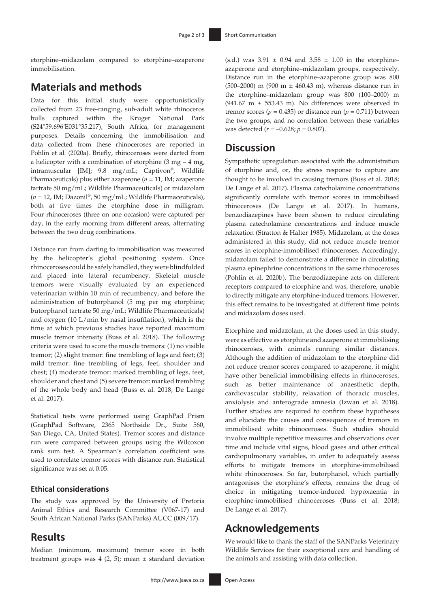etorphine–midazolam compared to etorphine–azaperone immobilisation.

# **Materials and methods**

Data for this initial study were opportunistically collected from 23 free-ranging, sub-adult white rhinoceros bulls captured within the Kruger National Park (S24°59.696ʹE031°35.217), South Africa, for management purposes. Details concerning the immobilisation and data collected from these rhinoceroses are reported in Pohlin et al. (2020a). Briefly, rhinoceroses were darted from a helicopter with a combination of etorphine  $(3 \text{ mg} - 4 \text{ mg})$ , intramuscular [IM]; 9.8 mg/mL; Captivon®, Wildlife Pharmaceuticals) plus either azaperone (*n* = 11, IM; azaperone tartrate 50 mg/mL; Wildlife Pharmaceuticals) or midazolam (*n* = 12, IM; Dazonil®, 50 mg/mL; Wildlife Pharmaceuticals), both at five times the etorphine dose in milligram. Four rhinoceroses (three on one occasion) were captured per day, in the early morning from different areas, alternating between the two drug combinations.

Distance run from darting to immobilisation was measured by the helicopter's global positioning system. Once rhinoceroses could be safely handled, they were blindfolded and placed into lateral recumbency. Skeletal muscle tremors were visually evaluated by an experienced veterinarian within 10 min of recumbency, and before the administration of butorphanol (5 mg per mg etorphine; butorphanol tartrate 50 mg/mL; Wildlife Pharmaceuticals) and oxygen (10 L/min by nasal insufflation), which is the time at which previous studies have reported maximum muscle tremor intensity (Buss et al. 2018). The following criteria were used to score the muscle tremors: (1) no visible tremor; (2) slight tremor: fine trembling of legs and feet; (3) mild tremor: fine trembling of legs, feet, shoulder and chest; (4) moderate tremor: marked trembling of legs, feet, shoulder and chest and (5) severe tremor: marked trembling of the whole body and head (Buss et al. 2018; De Lange et al. 2017).

Statistical tests were performed using GraphPad Prism (GraphPad Software, 2365 Northside Dr., Suite 560, San Diego, CA, United States). Tremor scores and distance run were compared between groups using the Wilcoxon rank sum test. A Spearman's correlation coefficient was used to correlate tremor scores with distance run. Statistical significance was set at 0.05.

### **Ethical considerations**

The study was approved by the University of Pretoria Animal Ethics and Research Committee (V067-17) and South African National Parks (SANParks) AUCC (009/17).

### **Results**

Median (minimum, maximum) tremor score in both treatment groups was 4 (2, 5); mean  $\pm$  standard deviation (s.d.) was  $3.91 \pm 0.94$  and  $3.58 \pm 1.00$  in the etorphine– azaperone and etorphine–midazolam groups, respectively. Distance run in the etorphine–azaperone group was 800 (500–2000) m (900 m ± 460.43 m), whereas distance run in the etorphine–midazolam group was 800 (100–2000) m (941.67 m  $\pm$  553.43 m). No differences were observed in tremor scores ( $p = 0.435$ ) or distance run ( $p = 0.711$ ) between the two groups, and no correlation between these variables was detected (*r* = –0.628; *p* = 0.807).

# **Discussion**

Sympathetic upregulation associated with the administration of etorphine and, or, the stress response to capture are thought to be involved in causing tremors (Buss et al. 2018; De Lange et al. 2017). Plasma catecholamine concentrations significantly correlate with tremor scores in immobilised rhinoceroses (De Lange et al. 2017). In humans, benzodiazepines have been shown to reduce circulating plasma catecholamine concentrations and induce muscle relaxation (Stratton & Halter 1985). Midazolam, at the doses administered in this study, did not reduce muscle tremor scores in etorphine-immobilised rhinoceroses. Accordingly, midazolam failed to demonstrate a difference in circulating plasma epinephrine concentrations in the same rhinoceroses (Pohlin et al. 2020b). The benzodiazepine acts on different receptors compared to etorphine and was, therefore, unable to directly mitigate any etorphine-induced tremors. However, this effect remains to be investigated at different time points and midazolam doses used.

Etorphine and midazolam, at the doses used in this study, were as effective as etorphine and azaperone at immobilising rhinoceroses, with animals running similar distances. Although the addition of midazolam to the etorphine did not reduce tremor scores compared to azaperone, it might have other beneficial immobilising effects in rhinoceroses, such as better maintenance of anaesthetic depth, cardiovascular stability, relaxation of thoracic muscles, anxiolysis and anterograde amnesia (Izwan et al. 2018). Further studies are required to confirm these hypotheses and elucidate the causes and consequences of tremors in immobilised white rhinoceroses. Such studies should involve multiple repetitive measures and observations over time and include vital signs, blood gases and other critical cardiopulmonary variables, in order to adequately assess efforts to mitigate tremors in etorphine-immobilised white rhinoceroses. So far, butorphanol, which partially antagonises the etorphine's effects, remains the drug of choice in mitigating tremor-induced hypoxaemia in etorphine-immobilised rhinoceroses (Buss et al. 2018; De Lange et al. 2017).

# **Acknowledgements**

We would like to thank the staff of the SANParks Veterinary Wildlife Services for their exceptional care and handling of the animals and assisting with data collection.